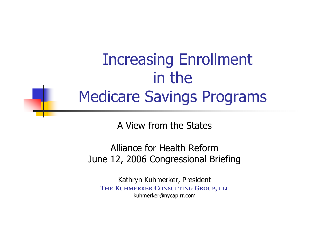### Increasing Enrollment in the Medicare Savings Programs

A View from the States

Alliance for Health Reform June 12, 2006 Congressional Briefing

Kathryn Kuhmerker, President **THE KUHMERKER CONSULTING GROUP, LLC** kuhmerker@nycap.rr.com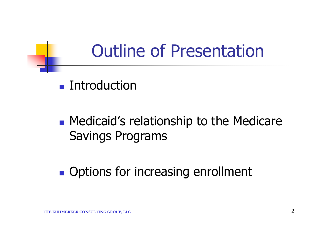## Outline of Presentation

#### **Introduction**

#### **• Medicaid's relationship to the Medicare** Savings Programs

#### **Options for increasing enrollment**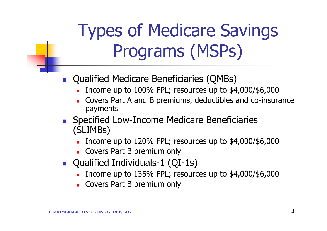# Types of Medicare Savings Programs (MSPs)

- **Qualified Medicare Beneficiaries (QMBs)** 
	- Income up to 100% FPL; resources up to \$4,000/\$6,000
	- Covers Part A and B premiums, deductibles and co-insurance payments
- **Specified Low-Income Medicare Beneficiaries** (SLIMBs)
	- Income up to  $120\%$  FPL; resources up to  $$4,000$ / $$6,000$
	- **Covers Part B premium only**
- Qualified Individuals-1 (QI-1s)
	- Income up to  $135\%$  FPL; resources up to  $$4,000$ / $$6,000$
	- **Covers Part B premium only**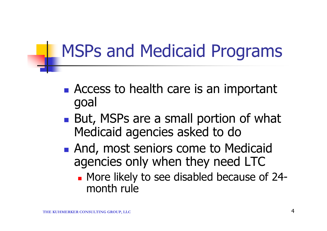## MSPs and Medicaid Programs

- Access to health care is an important goal
- But, MSPs are a small portion of what Medicaid agencies asked to do
- **And, most seniors come to Medicaid** agencies only when they need LTC
	- **Nore likely to see disabled because of 24**month rule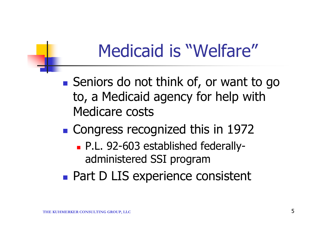## Medicaid is "Welfare"

- Seniors do not think of, or want to go to, a Medicaid agency for help with Medicare costs
- **Congress recognized this in 1972** 
	- P.L. 92-603 established federallyadministered SSI program
- **Part D LIS experience consistent**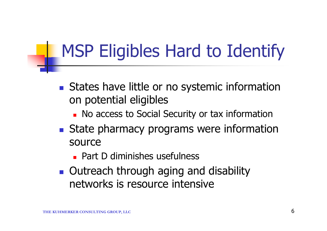# MSP Eligibles Hard to Identify

- States have little or no systemic information on potential eligibles
	- **No access to Social Security or tax information**
- State pharmacy programs were information source
	- **Part D diminishes usefulness**
- **Dutreach through aging and disability** networks is resource intensive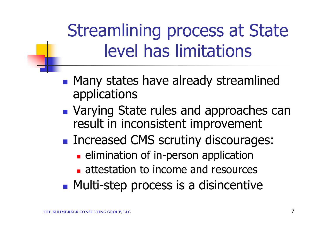# Streamlining process at State level has limitations

- **Many states have already streamlined** applications
- **Varying State rules and approaches can** result in inconsistent improvement
- Increased CMS scrutiny discourages:
	- **Example 2** elimination of in-person application
	- **attestation to income and resources**
- **Multi-step process is a disincentive**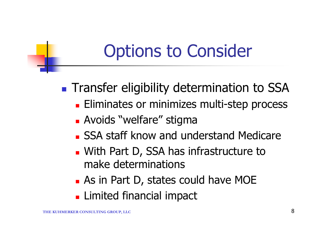# Options to Consider

- **Transfer eligibility determination to SSA** 
	- **Eliminates or minimizes multi-step process**
	- **Avoids "welfare" stigma**
	- **SSA staff know and understand Medicare**
	- **No. With Part D, SSA has infrastructure to** make determinations
	- **As in Part D, states could have MOE**
	- **Limited financial impact**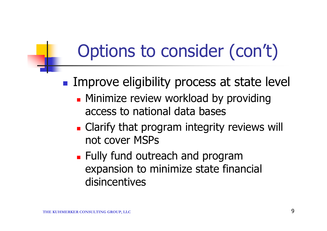# Options to consider (con't)

- **Improve eligibility process at state level** 
	- **Minimize review workload by providing** access to national data bases
	- **Clarify that program integrity reviews will** not cover MSPs
	- **Fully fund outreach and program** expansion to minimize state financial disincentives